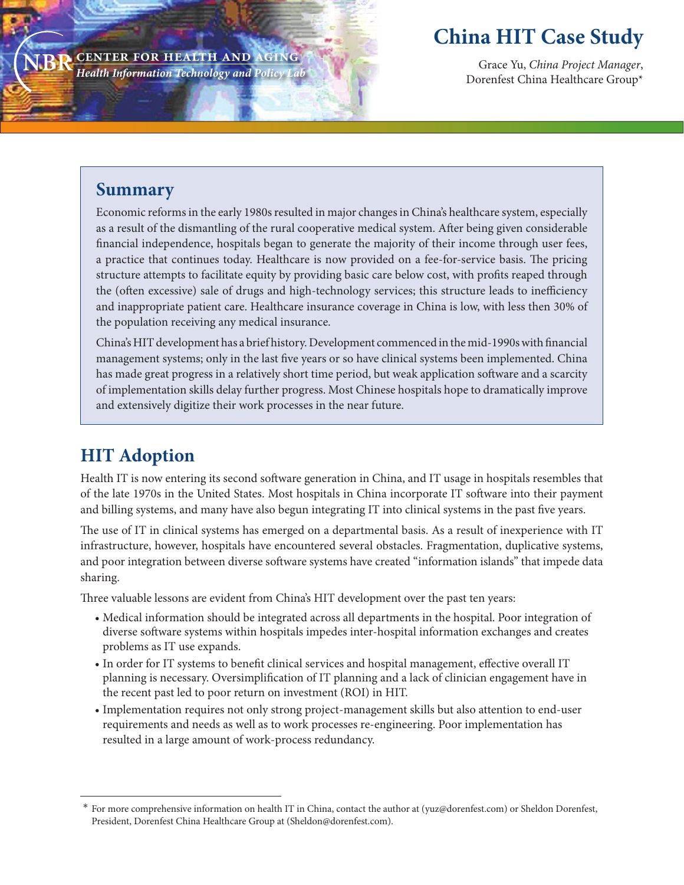**center for health and aging** *Health Information Technology and Policy Lab*

# **China HIT Case Study**

Grace Yu, *China Project Manager*, Dorenfest China Healthcare Group\*

### **Summary**

Economic reforms in the early 1980s resulted in major changes in China's healthcare system, especially as a result of the dismantling of the rural cooperative medical system. After being given considerable financial independence, hospitals began to generate the majority of their income through user fees, a practice that continues today. Healthcare is now provided on a fee-for-service basis. The pricing structure attempts to facilitate equity by providing basic care below cost, with profits reaped through the (often excessive) sale of drugs and high-technology services; this structure leads to inefficiency and inappropriate patient care. Healthcare insurance coverage in China is low, with less then 30% of the population receiving any medical insurance.

China's HIT development has a brief history. Development commenced in the mid-1990s with financial management systems; only in the last five years or so have clinical systems been implemented. China has made great progress in a relatively short time period, but weak application software and a scarcity of implementation skills delay further progress. Most Chinese hospitals hope to dramatically improve and extensively digitize their work processes in the near future.

## **HIT Adoption**

Health IT is now entering its second software generation in China, and IT usage in hospitals resembles that of the late 1970s in the United States. Most hospitals in China incorporate IT software into their payment and billing systems, and many have also begun integrating IT into clinical systems in the past five years.

The use of IT in clinical systems has emerged on a departmental basis. As a result of inexperience with IT infrastructure, however, hospitals have encountered several obstacles. Fragmentation, duplicative systems, and poor integration between diverse software systems have created "information islands" that impede data sharing.

Three valuable lessons are evident from China's HIT development over the past ten years:

- Medical information should be integrated across all departments in the hospital. Poor integration of diverse software systems within hospitals impedes inter-hospital information exchanges and creates problems as IT use expands.
- In order for IT systems to benefit clinical services and hospital management, effective overall IT planning is necessary. Oversimplification of IT planning and a lack of clinician engagement have in the recent past led to poor return on investment (ROI) in HIT.
- Implementation requires not only strong project-management skills but also attention to end-user requirements and needs as well as to work processes re-engineering. Poor implementation has resulted in a large amount of work-process redundancy.

 <sup>\*</sup> For more comprehensive information on health IT in China, contact the author at (yuz@dorenfest.com) or Sheldon Dorenfest, President, Dorenfest China Healthcare Group at (Sheldon@dorenfest.com).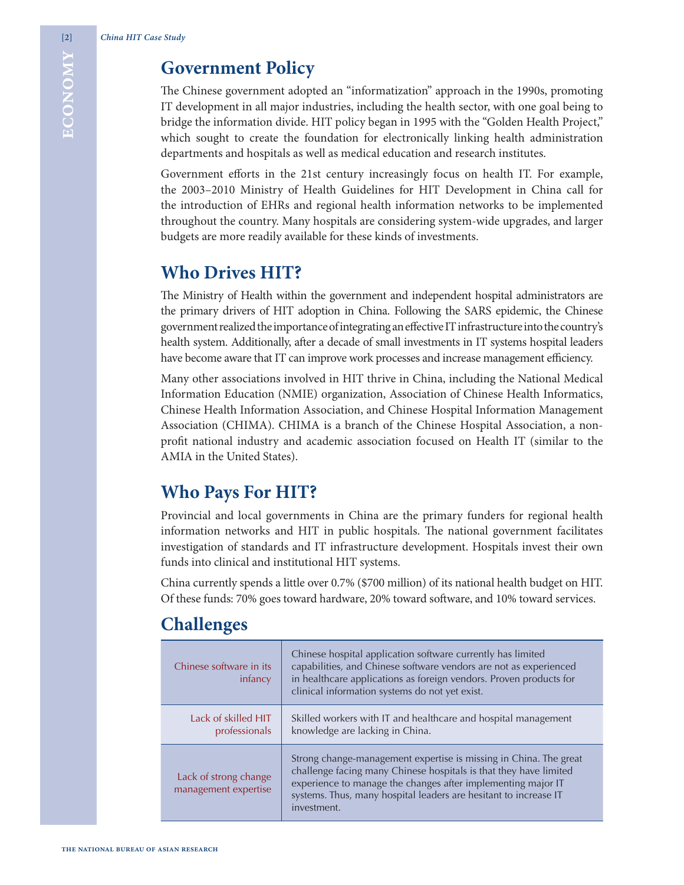### **Government Policy**

### **Who Drives HIT?**

### **Who Pays For HIT?**

### **Challenges**

|         | <b>Government Policy</b>                                                                                                                                                                                                                                                                                                                                                                                                                                                             |  |  |
|---------|--------------------------------------------------------------------------------------------------------------------------------------------------------------------------------------------------------------------------------------------------------------------------------------------------------------------------------------------------------------------------------------------------------------------------------------------------------------------------------------|--|--|
| ECONOMY | The Chinese government adopted an "informatization" approach in the 1990s, promoting<br>IT development in all major industries, including the health sector, with one goal being to<br>bridge the information divide. HIT policy began in 1995 with the "Golden Health Project<br>which sought to create the foundation for electronically linking health administration<br>departments and hospitals as well as medical education and research institutes.                          |  |  |
|         | Government efforts in the 21st century increasingly focus on health IT. For example<br>the 2003-2010 Ministry of Health Guidelines for HIT Development in China call fo<br>the introduction of EHRs and regional health information networks to be implemented<br>throughout the country. Many hospitals are considering system-wide upgrades, and large<br>budgets are more readily available for these kinds of investments.                                                       |  |  |
|         | <b>Who Drives HIT?</b>                                                                                                                                                                                                                                                                                                                                                                                                                                                               |  |  |
|         | The Ministry of Health within the government and independent hospital administrators are<br>the primary drivers of HIT adoption in China. Following the SARS epidemic, the Chines<br>government realized the importance of integrating an effective IT infrastructure into the country<br>health system. Additionally, after a decade of small investments in IT systems hospital leader<br>have become aware that IT can improve work processes and increase management efficiency. |  |  |
|         | Many other associations involved in HIT thrive in China, including the National Medica<br>Information Education (NMIE) organization, Association of Chinese Health Informatics<br>Chinese Health Information Association, and Chinese Hospital Information Managemen<br>Association (CHIMA). CHIMA is a branch of the Chinese Hospital Association, a non<br>profit national industry and academic association focused on Health IT (similar to th<br>AMIA in the United States).    |  |  |
|         | <b>Who Pays For HIT?</b>                                                                                                                                                                                                                                                                                                                                                                                                                                                             |  |  |
|         | Provincial and local governments in China are the primary funders for regional health<br>information networks and HIT in public hospitals. The national government facilitate<br>investigation of standards and IT infrastructure development. Hospitals invest their own<br>funds into clinical and institutional HIT systems.                                                                                                                                                      |  |  |
|         | China currently spends a little over 0.7% (\$700 million) of its national health budget on HIT<br>Of these funds: 70% goes toward hardware, 20% toward software, and 10% toward services.                                                                                                                                                                                                                                                                                            |  |  |
|         | <b>Challenges</b>                                                                                                                                                                                                                                                                                                                                                                                                                                                                    |  |  |
|         | Chinese hospital application software currently has limited<br>Chinese software in its<br>capabilities, and Chinese software vendors are not as experienced<br>in healthcare applications as foreign vendors. Proven products for<br>infancy<br>clinical information systems do not yet exist.                                                                                                                                                                                       |  |  |
|         | Lack of skilled HIT<br>Skilled workers with IT and healthcare and hospital management<br>knowledge are lacking in China.<br>professionals                                                                                                                                                                                                                                                                                                                                            |  |  |
|         | Strong change-management expertise is missing in China. The great<br>challenge facing many Chinese hospitals is that they have limited<br>Lack of strong change<br>experience to manage the changes after implementing major IT<br>management expertise<br>systems. Thus, many hospital leaders are hesitant to increase IT<br>investment.                                                                                                                                           |  |  |
|         | THE NATIONAL BUREAU OF ASIAN RESEARCH                                                                                                                                                                                                                                                                                                                                                                                                                                                |  |  |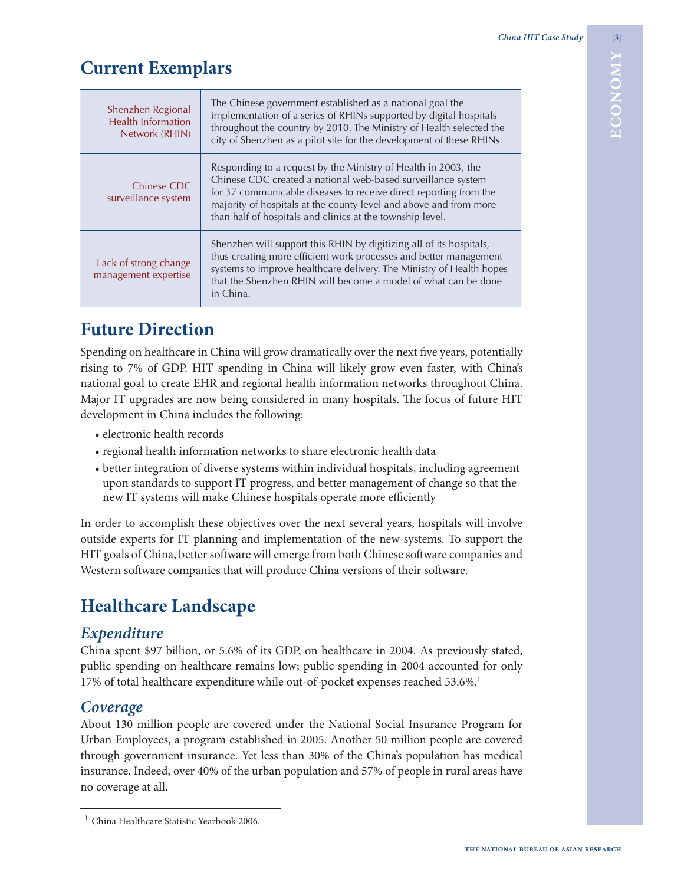# **Current Exemplars**

| <b>Current Exemplars</b>                                                    |                                                                                                                                                                                                                                                                                                                                                                                                                                                                                                                                                |                                       |
|-----------------------------------------------------------------------------|------------------------------------------------------------------------------------------------------------------------------------------------------------------------------------------------------------------------------------------------------------------------------------------------------------------------------------------------------------------------------------------------------------------------------------------------------------------------------------------------------------------------------------------------|---------------------------------------|
| Shenzhen Regional<br><b>Health Information</b><br>Network (RHIN)            | The Chinese government established as a national goal the<br>implementation of a series of RHINs supported by digital hospitals<br>throughout the country by 2010. The Ministry of Health selected the<br>city of Shenzhen as a pilot site for the development of these RHINs.                                                                                                                                                                                                                                                                 | Z<br>0<br>Ō<br>$\bar{\mathbf{u}}$     |
| Chinese CDC<br>surveillance system                                          | Responding to a request by the Ministry of Health in 2003, the<br>Chinese CDC created a national web-based surveillance system<br>for 37 communicable diseases to receive direct reporting from the<br>majority of hospitals at the county level and above and from more<br>than half of hospitals and clinics at the township level.                                                                                                                                                                                                          |                                       |
| Lack of strong change<br>management expertise                               | Shenzhen will support this RHIN by digitizing all of its hospitals,<br>thus creating more efficient work processes and better management<br>systems to improve healthcare delivery. The Ministry of Health hopes<br>that the Shenzhen RHIN will become a model of what can be done<br>in China.                                                                                                                                                                                                                                                |                                       |
| <b>Future Direction</b>                                                     |                                                                                                                                                                                                                                                                                                                                                                                                                                                                                                                                                |                                       |
| development in China includes the following:<br>· electronic health records | Spending on healthcare in China will grow dramatically over the next five years, potentially<br>rising to 7% of GDP. HIT spending in China will likely grow even faster, with China's<br>national goal to create EHR and regional health information networks throughout China.<br>Major IT upgrades are now being considered in many hospitals. The focus of future HIT<br>• regional health information networks to share electronic health data<br>• better integration of diverse systems within individual hospitals, including agreement |                                       |
|                                                                             | upon standards to support IT progress, and better management of change so that the<br>new IT systems will make Chinese hospitals operate more efficiently                                                                                                                                                                                                                                                                                                                                                                                      |                                       |
|                                                                             | In order to accomplish these objectives over the next several years, hospitals will involve<br>outside experts for IT planning and implementation of the new systems. To support the<br>HIT goals of China, better software will emerge from both Chinese software companies and<br>Western software companies that will produce China versions of their software.                                                                                                                                                                             |                                       |
| <b>Healthcare Landscape</b>                                                 |                                                                                                                                                                                                                                                                                                                                                                                                                                                                                                                                                |                                       |
| Expenditure                                                                 | China spent \$97 billion, or 5.6% of its GDP, on healthcare in 2004. As previously stated,<br>public spending on healthcare remains low; public spending in 2004 accounted for only<br>17% of total healthcare expenditure while out-of-pocket expenses reached 53.6%. <sup>1</sup>                                                                                                                                                                                                                                                            |                                       |
| Coverage<br>no coverage at all.                                             | About 130 million people are covered under the National Social Insurance Program for<br>Urban Employees, a program established in 2005. Another 50 million people are covered<br>through government insurance. Yet less than 30% of the China's population has medical<br>insurance. Indeed, over 40% of the urban population and 57% of people in rural areas have                                                                                                                                                                            |                                       |
| <sup>1</sup> China Healthcare Statistic Yearbook 2006.                      |                                                                                                                                                                                                                                                                                                                                                                                                                                                                                                                                                |                                       |
|                                                                             |                                                                                                                                                                                                                                                                                                                                                                                                                                                                                                                                                | THE NATIONAL BUREAU OF ASIAN RESEARCH |

### **Future Direction**

- electronic health records
- regional health information networks to share electronic health data
- better integration of diverse systems within individual hospitals, including agreement upon standards to support IT progress, and better management of change so that the new IT systems will make Chinese hospitals operate more efficiently

## **Healthcare Landscape**

### *Expenditure*

### *Coverage*

<sup>&</sup>lt;sup>1</sup> China Healthcare Statistic Yearbook 2006.